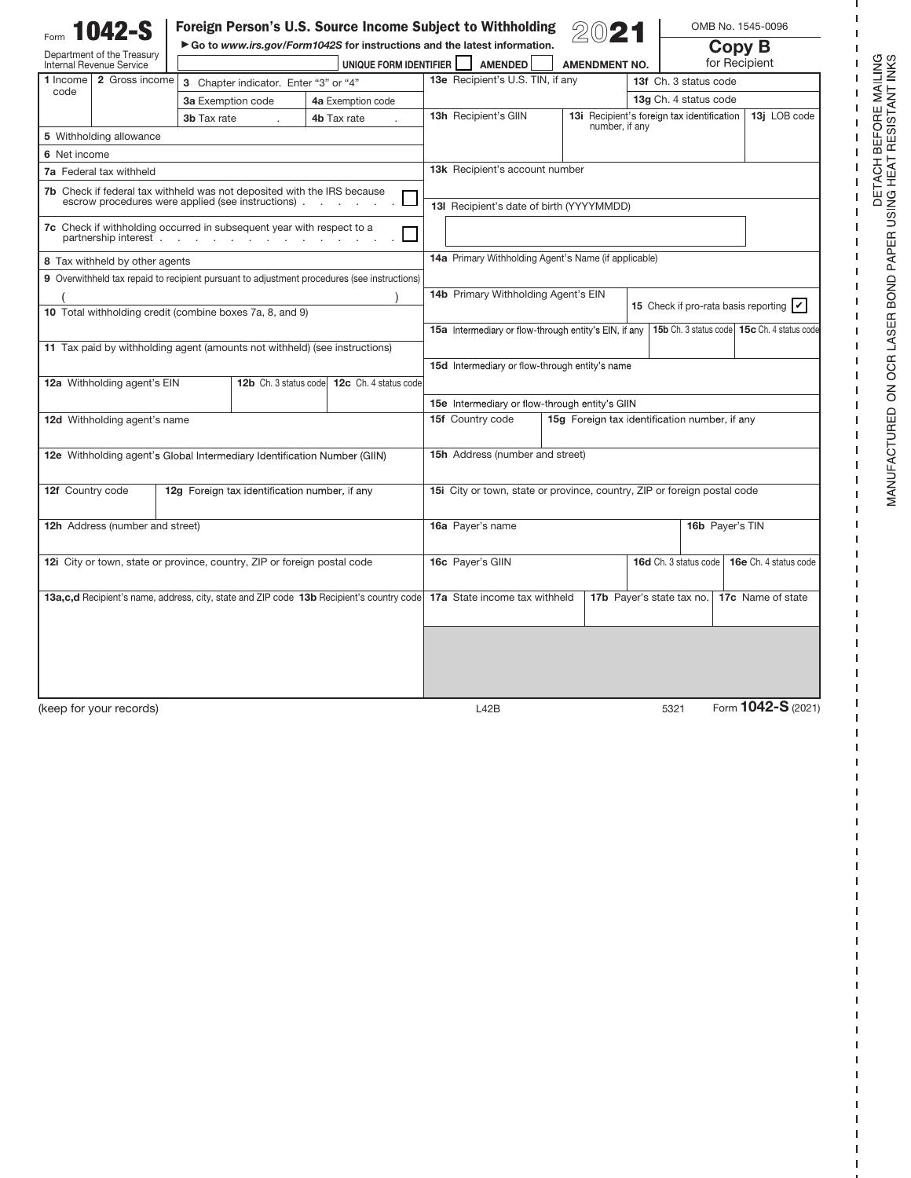| 1042-S                                                                                        |                                                    | Foreign Person's U.S. Source Income Subject to Withholding                                         |                                                                          |                                               |                                            | OMB No. 1545-0096                                  |
|-----------------------------------------------------------------------------------------------|----------------------------------------------------|----------------------------------------------------------------------------------------------------|--------------------------------------------------------------------------|-----------------------------------------------|--------------------------------------------|----------------------------------------------------|
| Department of the Treasury<br>Internal Revenue Service                                        |                                                    | Go to www.irs.gov/Form1042S for instructions and the latest information.<br>UNIQUE FORM IDENTIFIER | AMENDED                                                                  | <b>AMENDMENT NO.</b>                          | Copy B<br>for Recipient                    |                                                    |
| 2 Gross income<br>1 Income                                                                    | 3 Chapter indicator. Enter "3" or "4"              |                                                                                                    | 13e Recipient's U.S. TIN, if any                                         |                                               | 13f Ch. 3 status code                      |                                                    |
| code                                                                                          | 3a Exemption code                                  | 4a Exemption code                                                                                  |                                                                          |                                               | 13g Ch. 4 status code                      |                                                    |
|                                                                                               | 3b Tax rate                                        | 4b Tax rate                                                                                        | 13h Recipient's GIIN                                                     |                                               | 13i Recipient's foreign tax identification | 13j LOB code                                       |
| 5 Withholding allowance                                                                       |                                                    |                                                                                                    |                                                                          | number, if any                                |                                            |                                                    |
| 6 Net income                                                                                  |                                                    |                                                                                                    |                                                                          |                                               |                                            |                                                    |
| 7a Federal tax withheld                                                                       |                                                    | 13k Recipient's account number                                                                     |                                                                          |                                               |                                            |                                                    |
| <b>7b</b> Check if federal tax withheld was not deposited with the IRS because                | escrow procedures were applied (see instructions). | 13I Recipient's date of birth (YYYYMMDD)                                                           |                                                                          |                                               |                                            |                                                    |
| 7c Check if withholding occurred in subsequent year with respect to a<br>partnership interest |                                                    |                                                                                                    |                                                                          |                                               |                                            |                                                    |
| 8 Tax withheld by other agents                                                                |                                                    | 14a Primary Withholding Agent's Name (if applicable)                                               |                                                                          |                                               |                                            |                                                    |
| 9 Overwithheld tax repaid to recipient pursuant to adjustment procedures (see instructions)   |                                                    |                                                                                                    |                                                                          |                                               |                                            |                                                    |
|                                                                                               |                                                    | 14b Primary Withholding Agent's EIN                                                                |                                                                          |                                               |                                            |                                                    |
| 10 Total withholding credit (combine boxes 7a, 8, and 9)                                      |                                                    |                                                                                                    |                                                                          |                                               |                                            | 15 Check if pro-rata basis reporting $\mathcal{V}$ |
|                                                                                               |                                                    |                                                                                                    | 15a Intermediary or flow-through entity's EIN, if any                    |                                               |                                            | 15b Ch. 3 status code 15c Ch. 4 status code        |
| 11 Tax paid by withholding agent (amounts not withheld) (see instructions)                    |                                                    |                                                                                                    |                                                                          |                                               |                                            |                                                    |
|                                                                                               |                                                    |                                                                                                    | 15d Intermediary or flow-through entity's name                           |                                               |                                            |                                                    |
| 12a Withholding agent's EIN                                                                   |                                                    | 12b Ch. 3 status code<br>12c Ch. 4 status code                                                     |                                                                          |                                               |                                            |                                                    |
|                                                                                               |                                                    |                                                                                                    | 15e Intermediary or flow-through entity's GIIN                           |                                               |                                            |                                                    |
| 12d Withholding agent's name                                                                  |                                                    |                                                                                                    | 15f Country code                                                         | 15g Foreign tax identification number, if any |                                            |                                                    |
|                                                                                               |                                                    |                                                                                                    |                                                                          |                                               |                                            |                                                    |
| 12e Withholding agent's Global Intermediary Identification Number (GIIN)                      |                                                    | 15h Address (number and street)                                                                    |                                                                          |                                               |                                            |                                                    |
|                                                                                               |                                                    |                                                                                                    |                                                                          |                                               |                                            |                                                    |
| 12f Country code                                                                              | 12g Foreign tax identification number, if any      |                                                                                                    | 15i City or town, state or province, country, ZIP or foreign postal code |                                               |                                            |                                                    |
| 12h Address (number and street)                                                               |                                                    | 16a Payer's name<br>16b Payer's TIN                                                                |                                                                          |                                               |                                            |                                                    |
|                                                                                               |                                                    |                                                                                                    |                                                                          |                                               |                                            |                                                    |
| 12i City or town, state or province, country, ZIP or foreign postal code                      |                                                    |                                                                                                    | 16c Payer's GIIN                                                         |                                               | 16d Ch. 3 status code                      | 16e Ch. 4 status code                              |
|                                                                                               |                                                    |                                                                                                    |                                                                          |                                               |                                            |                                                    |
| 13a, c,d Recipient's name, address, city, state and ZIP code 13b Recipient's country code     |                                                    |                                                                                                    | 17a State income tax withheld                                            |                                               | 17b Payer's state tax no.                  | 17c Name of state                                  |
|                                                                                               |                                                    |                                                                                                    |                                                                          |                                               |                                            |                                                    |
|                                                                                               |                                                    |                                                                                                    |                                                                          |                                               |                                            |                                                    |
|                                                                                               |                                                    |                                                                                                    |                                                                          |                                               |                                            |                                                    |
|                                                                                               |                                                    |                                                                                                    |                                                                          |                                               |                                            |                                                    |
|                                                                                               |                                                    |                                                                                                    |                                                                          |                                               |                                            | Form 1042-S (2021)                                 |
| (keep for your records)                                                                       |                                                    |                                                                                                    | L42B                                                                     |                                               | 5321                                       |                                                    |

**I**  $\mathsf I$  $\mathsf I$  $\bar{1}$ 

 $\begin{array}{c} 1 \\ 1 \\ 1 \\ 1 \end{array}$ 

 $\mathbf I$  $\mathbf I$  $\bar{1}$  $\bar{1}$  $\mathbf I$  $\mathbf I$  $\mathbf I$  $\mathsf I$  $\mathbf I$  $\mathbf I$  $\mathbf I$  $\mathbf I$  $\mathbf I$  $\mathsf I$  $\mathbf{I}$  $\mathbf I$  $\mathsf I$  $\mathbf I$  $\mathbf I$  $\mathbf{I}$  $\mathbf I$  $\mathsf I$  $\mathsf I$  $\mathbf I$  $\mathbf I$  $\mathsf I$  $\mathsf I$  $\mathsf I$  $\mathbf{I}$  $\overline{1}$ 

> ı ı 1

**I** . 1 I  $\mathbf{I}$ 1 ı

> I 1

ı  $\overline{1}$  $\mathsf I$  $\mathbf I$